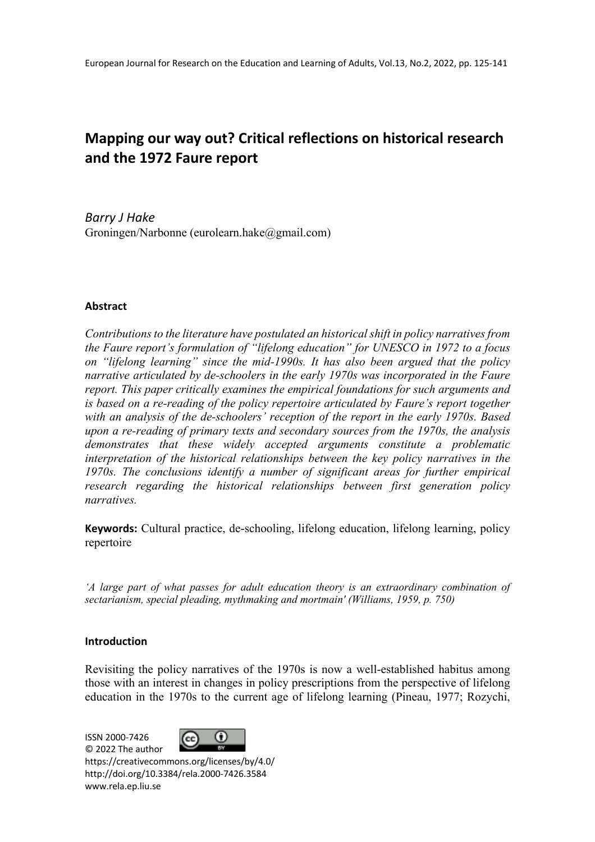# **Mapping our way out? Critical reflections on historical research and the 1972 Faure report**

*Barry J Hake* Groningen/Narbonne (eurolearn.hake@gmail.com)

## **Abstract**

*Contributions to the literature have postulated an historical shift in policy narratives from the Faure report's formulation of "lifelong education" for UNESCO in 1972 to a focus on "lifelong learning" since the mid-1990s. It has also been argued that the policy narrative articulated by de-schoolers in the early 1970s was incorporated in the Faure report. This paper critically examines the empirical foundations for such arguments and is based on a re-reading of the policy repertoire articulated by Faure's report together with an analysis of the de-schoolers' reception of the report in the early 1970s. Based upon a re-reading of primary texts and secondary sources from the 1970s, the analysis demonstrates that these widely accepted arguments constitute a problematic interpretation of the historical relationships between the key policy narratives in the 1970s. The conclusions identify a number of significant areas for further empirical research regarding the historical relationships between first generation policy narratives.*

**Keywords:** Cultural practice, de-schooling, lifelong education, lifelong learning, policy repertoire

*'A large part of what passes for adult education theory is an extraordinary combination of sectarianism, special pleading, mythmaking and mortmain' (Williams, 1959, p. 750)*

## **Introduction**

Revisiting the policy narratives of the 1970s is now a well-established habitus among those with an interest in changes in policy prescriptions from the perspective of lifelong education in the 1970s to the current age of lifelong learning (Pineau, 1977; Rozychi,

ISSN 2000-7426



© 2022 The author https://creativecommons.org/licenses/by/4.0/ http://doi.org/10.3384/rela.2000-7426.3584 www.rela.ep.liu.se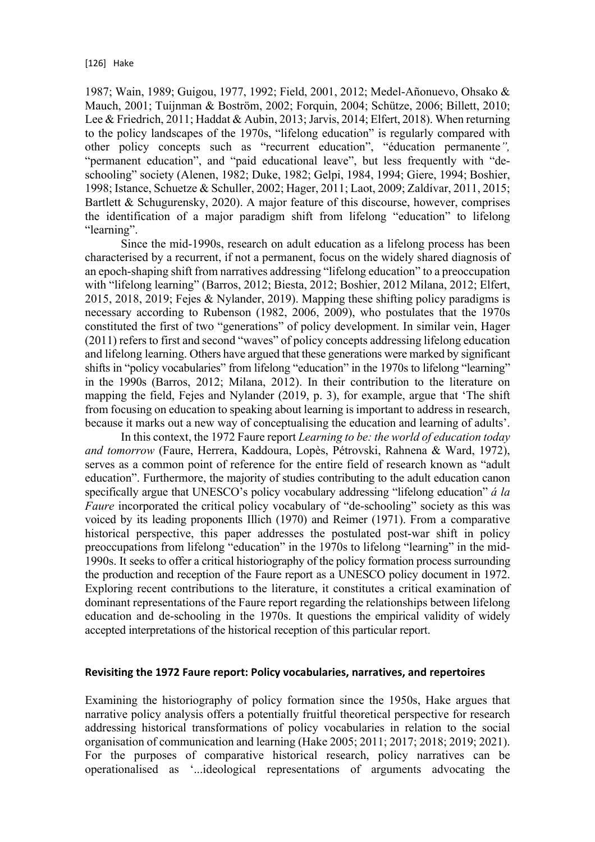1987; Wain, 1989; Guigou, 1977, 1992; Field, 2001, 2012; Medel-Añonuevo, Ohsako & Mauch, 2001; Tuijnman & Boström, 2002; Forquin, 2004; Schütze, 2006; Billett, 2010; Lee & Friedrich, 2011; Haddat & Aubin, 2013; Jarvis, 2014; Elfert, 2018). When returning to the policy landscapes of the 1970s, "lifelong education" is regularly compared with other policy concepts such as "recurrent education", "éducation permanente*",* "permanent education", and "paid educational leave", but less frequently with "deschooling" society (Alenen, 1982; Duke, 1982; Gelpi, 1984, 1994; Giere, 1994; Boshier, 1998; Istance, Schuetze & Schuller, 2002; Hager, 2011; Laot, 2009; Zaldívar, 2011, 2015; Bartlett & Schugurensky, 2020). A major feature of this discourse, however, comprises the identification of a major paradigm shift from lifelong "education" to lifelong "learning".

Since the mid-1990s, research on adult education as a lifelong process has been characterised by a recurrent, if not a permanent, focus on the widely shared diagnosis of an epoch-shaping shift from narratives addressing "lifelong education" to a preoccupation with "lifelong learning" (Barros, 2012; Biesta, 2012; Boshier, 2012 Milana, 2012; Elfert, 2015, 2018, 2019; Fejes & Nylander, 2019). Mapping these shifting policy paradigms is necessary according to Rubenson (1982, 2006, 2009), who postulates that the 1970s constituted the first of two "generations" of policy development. In similar vein, Hager (2011) refers to first and second "waves" of policy concepts addressing lifelong education and lifelong learning. Others have argued that these generations were marked by significant shifts in "policy vocabularies" from lifelong "education" in the 1970s to lifelong "learning" in the 1990s (Barros, 2012; Milana, 2012). In their contribution to the literature on mapping the field, Fejes and Nylander (2019, p. 3), for example, argue that 'The shift from focusing on education to speaking about learning is important to address in research, because it marks out a new way of conceptualising the education and learning of adults'.

In this context, the 1972 Faure report *Learning to be: the world of education today and tomorrow* (Faure, Herrera, Kaddoura, Lopès, Pétrovski, Rahnena & Ward, 1972), serves as a common point of reference for the entire field of research known as "adult education". Furthermore, the majority of studies contributing to the adult education canon specifically argue that UNESCO's policy vocabulary addressing "lifelong education" *á la Faure* incorporated the critical policy vocabulary of "de-schooling" society as this was voiced by its leading proponents Illich (1970) and Reimer (1971). From a comparative historical perspective, this paper addresses the postulated post-war shift in policy preoccupations from lifelong "education" in the 1970s to lifelong "learning" in the mid-1990s. It seeks to offer a critical historiography of the policy formation process surrounding the production and reception of the Faure report as a UNESCO policy document in 1972. Exploring recent contributions to the literature, it constitutes a critical examination of dominant representations of the Faure report regarding the relationships between lifelong education and de-schooling in the 1970s. It questions the empirical validity of widely accepted interpretations of the historical reception of this particular report.

## **Revisiting the 1972 Faure report: Policy vocabularies, narratives, and repertoires**

Examining the historiography of policy formation since the 1950s, Hake argues that narrative policy analysis offers a potentially fruitful theoretical perspective for research addressing historical transformations of policy vocabularies in relation to the social organisation of communication and learning (Hake 2005; 2011; 2017; 2018; 2019; 2021). For the purposes of comparative historical research, policy narratives can be operationalised as '...ideological representations of arguments advocating the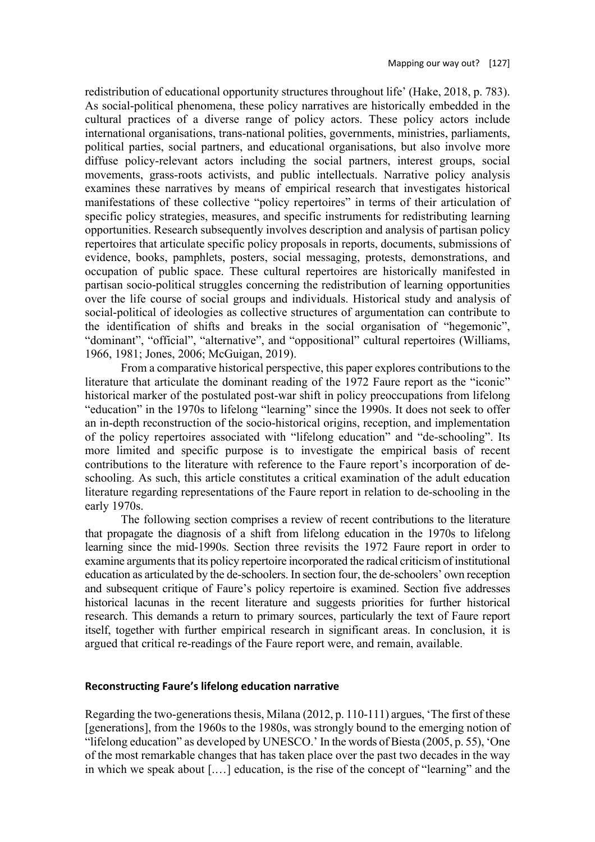redistribution of educational opportunity structures throughout life' (Hake, 2018, p. 783). As social-political phenomena, these policy narratives are historically embedded in the cultural practices of a diverse range of policy actors. These policy actors include international organisations, trans-national polities, governments, ministries, parliaments, political parties, social partners, and educational organisations, but also involve more diffuse policy-relevant actors including the social partners, interest groups, social movements, grass-roots activists, and public intellectuals. Narrative policy analysis examines these narratives by means of empirical research that investigates historical manifestations of these collective "policy repertoires" in terms of their articulation of specific policy strategies, measures, and specific instruments for redistributing learning opportunities. Research subsequently involves description and analysis of partisan policy repertoires that articulate specific policy proposals in reports, documents, submissions of evidence, books, pamphlets, posters, social messaging, protests, demonstrations, and occupation of public space. These cultural repertoires are historically manifested in partisan socio-political struggles concerning the redistribution of learning opportunities over the life course of social groups and individuals. Historical study and analysis of social-political of ideologies as collective structures of argumentation can contribute to the identification of shifts and breaks in the social organisation of "hegemonic", "dominant", "official", "alternative", and "oppositional" cultural repertoires (Williams, 1966, 1981; Jones, 2006; McGuigan, 2019).

From a comparative historical perspective, this paper explores contributions to the literature that articulate the dominant reading of the 1972 Faure report as the "iconic" historical marker of the postulated post-war shift in policy preoccupations from lifelong "education" in the 1970s to lifelong "learning" since the 1990s. It does not seek to offer an in-depth reconstruction of the socio-historical origins, reception, and implementation of the policy repertoires associated with "lifelong education" and "de-schooling". Its more limited and specific purpose is to investigate the empirical basis of recent contributions to the literature with reference to the Faure report's incorporation of deschooling. As such, this article constitutes a critical examination of the adult education literature regarding representations of the Faure report in relation to de-schooling in the early 1970s.

The following section comprises a review of recent contributions to the literature that propagate the diagnosis of a shift from lifelong education in the 1970s to lifelong learning since the mid-1990s. Section three revisits the 1972 Faure report in order to examine arguments that its policy repertoire incorporated the radical criticism of institutional education as articulated by the de-schoolers. In section four, the de-schoolers' own reception and subsequent critique of Faure's policy repertoire is examined. Section five addresses historical lacunas in the recent literature and suggests priorities for further historical research. This demands a return to primary sources, particularly the text of Faure report itself, together with further empirical research in significant areas. In conclusion, it is argued that critical re-readings of the Faure report were, and remain, available.

#### **Reconstructing Faure's lifelong education narrative**

Regarding the two-generations thesis, Milana (2012, p. 110-111) argues, 'The first of these [generations], from the 1960s to the 1980s, was strongly bound to the emerging notion of "lifelong education" as developed by UNESCO.' In the words of Biesta (2005, p. 55), 'One of the most remarkable changes that has taken place over the past two decades in the way in which we speak about [.…] education, is the rise of the concept of "learning" and the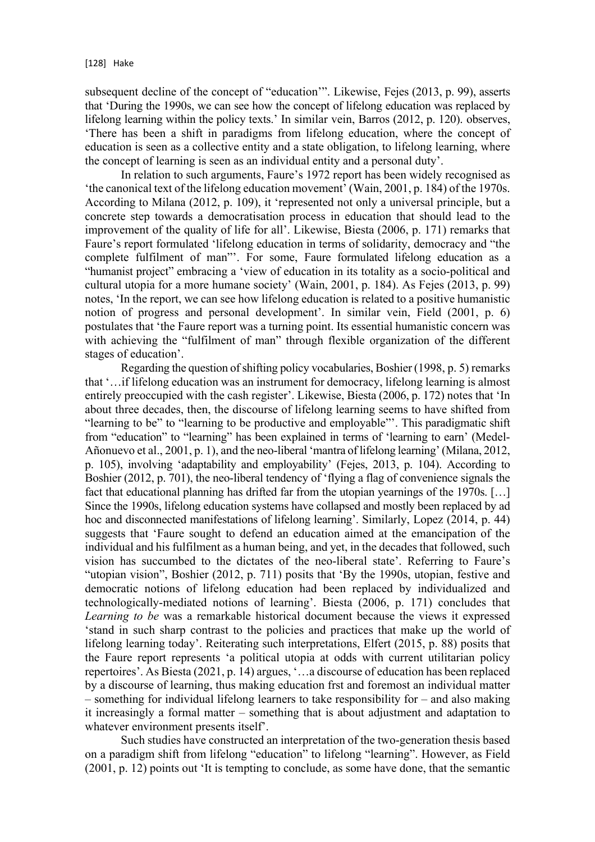subsequent decline of the concept of "education'". Likewise, Fejes (2013, p. 99), asserts that 'During the 1990s, we can see how the concept of lifelong education was replaced by lifelong learning within the policy texts.' In similar vein, Barros (2012, p. 120). observes, 'There has been a shift in paradigms from lifelong education, where the concept of education is seen as a collective entity and a state obligation, to lifelong learning, where the concept of learning is seen as an individual entity and a personal duty'.

In relation to such arguments, Faure's 1972 report has been widely recognised as 'the canonical text of the lifelong education movement' (Wain, 2001, p. 184) of the 1970s. According to Milana (2012, p. 109), it 'represented not only a universal principle, but a concrete step towards a democratisation process in education that should lead to the improvement of the quality of life for all'. Likewise, Biesta (2006, p. 171) remarks that Faure's report formulated 'lifelong education in terms of solidarity, democracy and "the complete fulfilment of man"'. For some, Faure formulated lifelong education as a "humanist project" embracing a 'view of education in its totality as a socio-political and cultural utopia for a more humane society' (Wain, 2001, p. 184). As Fejes (2013, p. 99) notes, 'In the report, we can see how lifelong education is related to a positive humanistic notion of progress and personal development'. In similar vein, Field (2001, p. 6) postulates that 'the Faure report was a turning point. Its essential humanistic concern was with achieving the "fulfilment of man" through flexible organization of the different stages of education'.

Regarding the question of shifting policy vocabularies, Boshier (1998, p. 5) remarks that '…if lifelong education was an instrument for democracy, lifelong learning is almost entirely preoccupied with the cash register'. Likewise, Biesta (2006, p. 172) notes that 'In about three decades, then, the discourse of lifelong learning seems to have shifted from "learning to be" to "learning to be productive and employable"'. This paradigmatic shift from "education" to "learning" has been explained in terms of 'learning to earn' (Medel-Añonuevo et al., 2001, p. 1), and the neo-liberal 'mantra of lifelong learning' (Milana, 2012, p. 105), involving 'adaptability and employability' (Fejes, 2013, p. 104). According to Boshier (2012, p. 701), the neo-liberal tendency of 'flying a flag of convenience signals the fact that educational planning has drifted far from the utopian yearnings of the 1970s. [...] Since the 1990s, lifelong education systems have collapsed and mostly been replaced by ad hoc and disconnected manifestations of lifelong learning'. Similarly, Lopez (2014, p. 44) suggests that 'Faure sought to defend an education aimed at the emancipation of the individual and his fulfilment as a human being, and yet, in the decades that followed, such vision has succumbed to the dictates of the neo-liberal state'. Referring to Faure's "utopian vision", Boshier (2012, p. 711) posits that 'By the 1990s, utopian, festive and democratic notions of lifelong education had been replaced by individualized and technologically-mediated notions of learning'. Biesta (2006, p. 171) concludes that *Learning to be* was a remarkable historical document because the views it expressed 'stand in such sharp contrast to the policies and practices that make up the world of lifelong learning today'. Reiterating such interpretations, Elfert (2015, p. 88) posits that the Faure report represents 'a political utopia at odds with current utilitarian policy repertoires'. As Biesta (2021, p. 14) argues, '…a discourse of education has been replaced by a discourse of learning, thus making education frst and foremost an individual matter – something for individual lifelong learners to take responsibility for – and also making it increasingly a formal matter – something that is about adjustment and adaptation to whatever environment presents itself'.

Such studies have constructed an interpretation of the two-generation thesis based on a paradigm shift from lifelong "education" to lifelong "learning". However, as Field (2001, p. 12) points out 'It is tempting to conclude, as some have done, that the semantic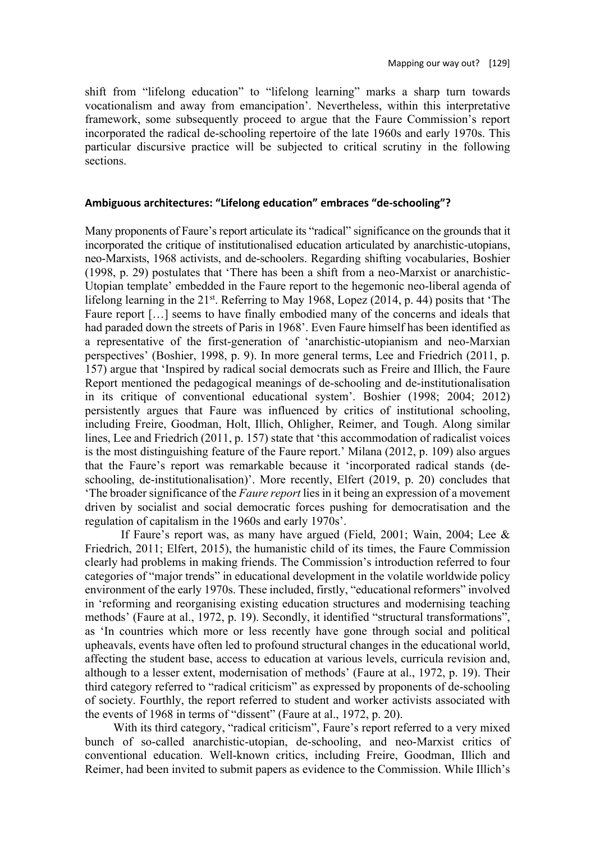shift from "lifelong education" to "lifelong learning" marks a sharp turn towards vocationalism and away from emancipation'. Nevertheless, within this interpretative framework, some subsequently proceed to argue that the Faure Commission's report incorporated the radical de-schooling repertoire of the late 1960s and early 1970s. This particular discursive practice will be subjected to critical scrutiny in the following sections.

## **Ambiguous architectures: "Lifelong education" embraces "de-schooling"?**

Many proponents of Faure's report articulate its "radical" significance on the grounds that it incorporated the critique of institutionalised education articulated by anarchistic-utopians, neo-Marxists, 1968 activists, and de-schoolers. Regarding shifting vocabularies, Boshier (1998, p. 29) postulates that 'There has been a shift from a neo-Marxist or anarchistic-Utopian template' embedded in the Faure report to the hegemonic neo-liberal agenda of lifelong learning in the  $21^{st}$ . Referring to May 1968, Lopez (2014, p. 44) posits that 'The Faure report […] seems to have finally embodied many of the concerns and ideals that had paraded down the streets of Paris in 1968'. Even Faure himself has been identified as a representative of the first-generation of 'anarchistic-utopianism and neo-Marxian perspectives' (Boshier, 1998, p. 9). In more general terms, Lee and Friedrich (2011, p. 157) argue that 'Inspired by radical social democrats such as Freire and Illich, the Faure Report mentioned the pedagogical meanings of de-schooling and de-institutionalisation in its critique of conventional educational system'. Boshier (1998; 2004; 2012) persistently argues that Faure was influenced by critics of institutional schooling, including Freire, Goodman, Holt, Illich, Ohligher, Reimer, and Tough. Along similar lines, Lee and Friedrich (2011, p. 157) state that 'this accommodation of radicalist voices is the most distinguishing feature of the Faure report.' Milana (2012, p. 109) also argues that the Faure's report was remarkable because it 'incorporated radical stands (deschooling, de-institutionalisation)'. More recently, Elfert (2019, p. 20) concludes that 'The broader significance of the *Faure report* lies in it being an expression of a movement driven by socialist and social democratic forces pushing for democratisation and the regulation of capitalism in the 1960s and early 1970s'.

If Faure's report was, as many have argued (Field, 2001; Wain, 2004; Lee & Friedrich, 2011; Elfert, 2015), the humanistic child of its times, the Faure Commission clearly had problems in making friends. The Commission's introduction referred to four categories of "major trends" in educational development in the volatile worldwide policy environment of the early 1970s. These included, firstly, "educational reformers" involved in 'reforming and reorganising existing education structures and modernising teaching methods' (Faure at al., 1972, p. 19). Secondly, it identified "structural transformations", as 'In countries which more or less recently have gone through social and political upheavals, events have often led to profound structural changes in the educational world, affecting the student base, access to education at various levels, curricula revision and, although to a lesser extent, modernisation of methods' (Faure at al., 1972, p. 19). Their third category referred to "radical criticism" as expressed by proponents of de-schooling of society. Fourthly, the report referred to student and worker activists associated with the events of 1968 in terms of "dissent" (Faure at al., 1972, p. 20).

With its third category, "radical criticism", Faure's report referred to a very mixed bunch of so-called anarchistic-utopian, de-schooling, and neo-Marxist critics of conventional education. Well-known critics, including Freire, Goodman, Illich and Reimer, had been invited to submit papers as evidence to the Commission. While Illich's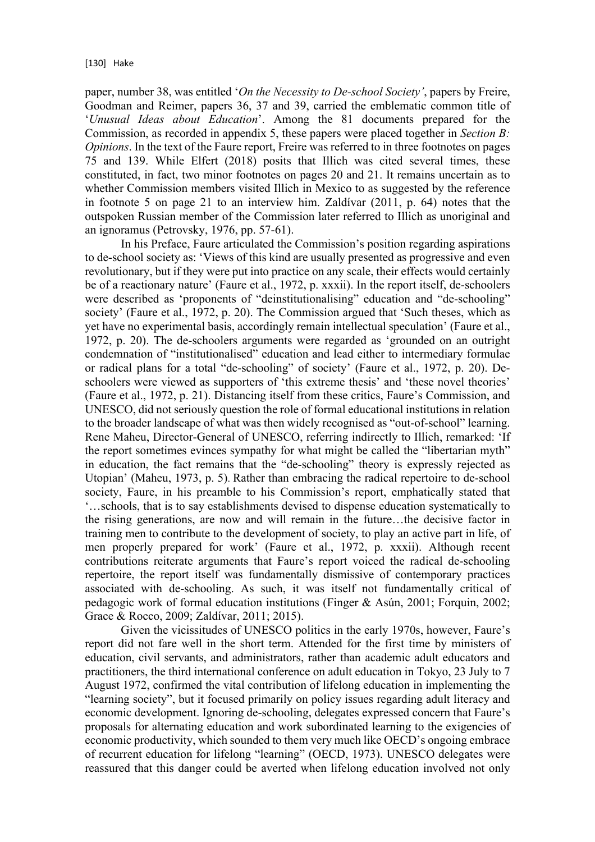paper, number 38, was entitled '*On the Necessity to De-school Society'*, papers by Freire, Goodman and Reimer, papers 36, 37 and 39, carried the emblematic common title of '*Unusual Ideas about Education*'. Among the 81 documents prepared for the Commission, as recorded in appendix 5, these papers were placed together in *Section B: Opinions*. In the text of the Faure report, Freire was referred to in three footnotes on pages 75 and 139. While Elfert (2018) posits that Illich was cited several times, these constituted, in fact, two minor footnotes on pages 20 and 21. It remains uncertain as to whether Commission members visited Illich in Mexico to as suggested by the reference in footnote 5 on page 21 to an interview him. Zaldívar (2011, p. 64) notes that the outspoken Russian member of the Commission later referred to Illich as unoriginal and an ignoramus (Petrovsky, 1976, pp. 57-61).

In his Preface, Faure articulated the Commission's position regarding aspirations to de-school society as: 'Views of this kind are usually presented as progressive and even revolutionary, but if they were put into practice on any scale, their effects would certainly be of a reactionary nature' (Faure et al., 1972, p. xxxii). In the report itself, de-schoolers were described as 'proponents of "deinstitutionalising" education and "de-schooling" society' (Faure et al., 1972, p. 20). The Commission argued that 'Such theses, which as yet have no experimental basis, accordingly remain intellectual speculation' (Faure et al., 1972, p. 20). The de-schoolers arguments were regarded as 'grounded on an outright condemnation of "institutionalised" education and lead either to intermediary formulae or radical plans for a total "de-schooling" of society' (Faure et al., 1972, p. 20). Deschoolers were viewed as supporters of 'this extreme thesis' and 'these novel theories' (Faure et al., 1972, p. 21). Distancing itself from these critics, Faure's Commission, and UNESCO, did not seriously question the role of formal educational institutions in relation to the broader landscape of what was then widely recognised as "out-of-school" learning. Rene Maheu, Director-General of UNESCO, referring indirectly to Illich, remarked: 'If the report sometimes evinces sympathy for what might be called the "libertarian myth" in education, the fact remains that the "de-schooling" theory is expressly rejected as Utopian' (Maheu, 1973, p. 5). Rather than embracing the radical repertoire to de-school society, Faure, in his preamble to his Commission's report, emphatically stated that '…schools, that is to say establishments devised to dispense education systematically to the rising generations, are now and will remain in the future…the decisive factor in training men to contribute to the development of society, to play an active part in life, of men properly prepared for work' (Faure et al., 1972, p. xxxii). Although recent contributions reiterate arguments that Faure's report voiced the radical de-schooling repertoire, the report itself was fundamentally dismissive of contemporary practices associated with de-schooling. As such, it was itself not fundamentally critical of pedagogic work of formal education institutions (Finger & Asún, 2001; Forquin, 2002; Grace & Rocco, 2009; Zaldívar, 2011; 2015).

Given the vicissitudes of UNESCO politics in the early 1970s, however, Faure's report did not fare well in the short term. Attended for the first time by ministers of education, civil servants, and administrators, rather than academic adult educators and practitioners, the third international conference on adult education in Tokyo, 23 July to 7 August 1972, confirmed the vital contribution of lifelong education in implementing the "learning society", but it focused primarily on policy issues regarding adult literacy and economic development. Ignoring de-schooling, delegates expressed concern that Faure's proposals for alternating education and work subordinated learning to the exigencies of economic productivity, which sounded to them very much like OECD's ongoing embrace of recurrent education for lifelong "learning" (OECD, 1973). UNESCO delegates were reassured that this danger could be averted when lifelong education involved not only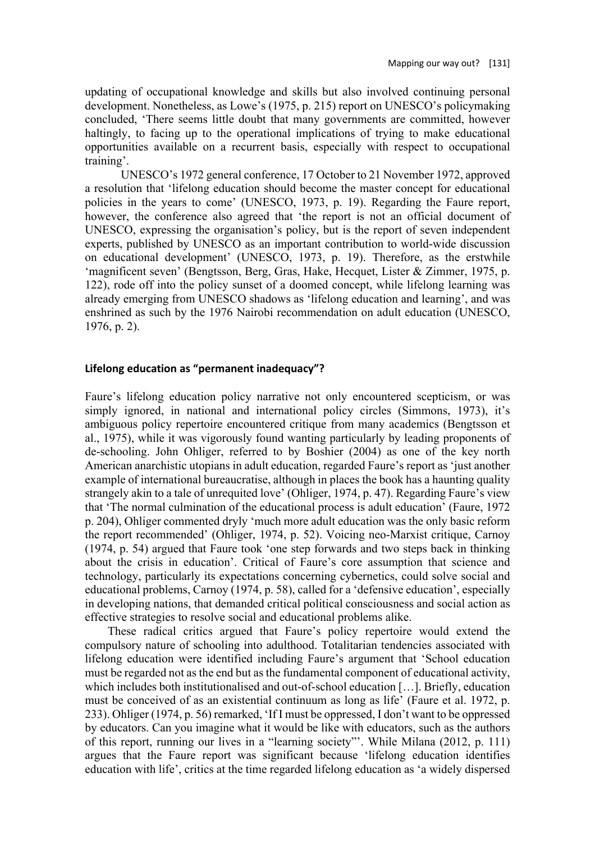updating of occupational knowledge and skills but also involved continuing personal development. Nonetheless, as Lowe's (1975, p. 215) report on UNESCO's policymaking concluded, 'There seems little doubt that many governments are committed, however haltingly, to facing up to the operational implications of trying to make educational opportunities available on a recurrent basis, especially with respect to occupational training'.

UNESCO's 1972 general conference, 17 October to 21 November 1972, approved a resolution that 'lifelong education should become the master concept for educational policies in the years to come' (UNESCO, 1973, p. 19). Regarding the Faure report, however, the conference also agreed that 'the report is not an official document of UNESCO, expressing the organisation's policy, but is the report of seven independent experts, published by UNESCO as an important contribution to world-wide discussion on educational development' (UNESCO, 1973, p. 19). Therefore, as the erstwhile 'magnificent seven' (Bengtsson, Berg, Gras, Hake, Hecquet, Lister & Zimmer, 1975, p. 122), rode off into the policy sunset of a doomed concept, while lifelong learning was already emerging from UNESCO shadows as 'lifelong education and learning', and was enshrined as such by the 1976 Nairobi recommendation on adult education (UNESCO, 1976, p. 2).

## **Lifelong education as "permanent inadequacy"?**

Faure's lifelong education policy narrative not only encountered scepticism, or was simply ignored, in national and international policy circles (Simmons, 1973), it's ambiguous policy repertoire encountered critique from many academics (Bengtsson et al., 1975), while it was vigorously found wanting particularly by leading proponents of de-schooling. John Ohliger, referred to by Boshier (2004) as one of the key north American anarchistic utopians in adult education, regarded Faure's report as 'just another example of international bureaucratise, although in places the book has a haunting quality strangely akin to a tale of unrequited love' (Ohliger, 1974, p. 47). Regarding Faure's view that 'The normal culmination of the educational process is adult education' (Faure, 1972 p. 204), Ohliger commented dryly 'much more adult education was the only basic reform the report recommended' (Ohliger, 1974, p. 52). Voicing neo-Marxist critique, Carnoy (1974, p. 54) argued that Faure took 'one step forwards and two steps back in thinking about the crisis in education'. Critical of Faure's core assumption that science and technology, particularly its expectations concerning cybernetics, could solve social and educational problems, Carnoy (1974, p. 58), called for a 'defensive education', especially in developing nations, that demanded critical political consciousness and social action as effective strategies to resolve social and educational problems alike.

These radical critics argued that Faure's policy repertoire would extend the compulsory nature of schooling into adulthood. Totalitarian tendencies associated with lifelong education were identified including Faure's argument that 'School education must be regarded not as the end but as the fundamental component of educational activity, which includes both institutionalised and out-of-school education […]. Briefly, education must be conceived of as an existential continuum as long as life' (Faure et al. 1972, p. 233). Ohliger (1974, p. 56) remarked, 'If I must be oppressed, I don't want to be oppressed by educators. Can you imagine what it would be like with educators, such as the authors of this report, running our lives in a "learning society"'. While Milana (2012, p. 111) argues that the Faure report was significant because 'lifelong education identifies education with life', critics at the time regarded lifelong education as 'a widely dispersed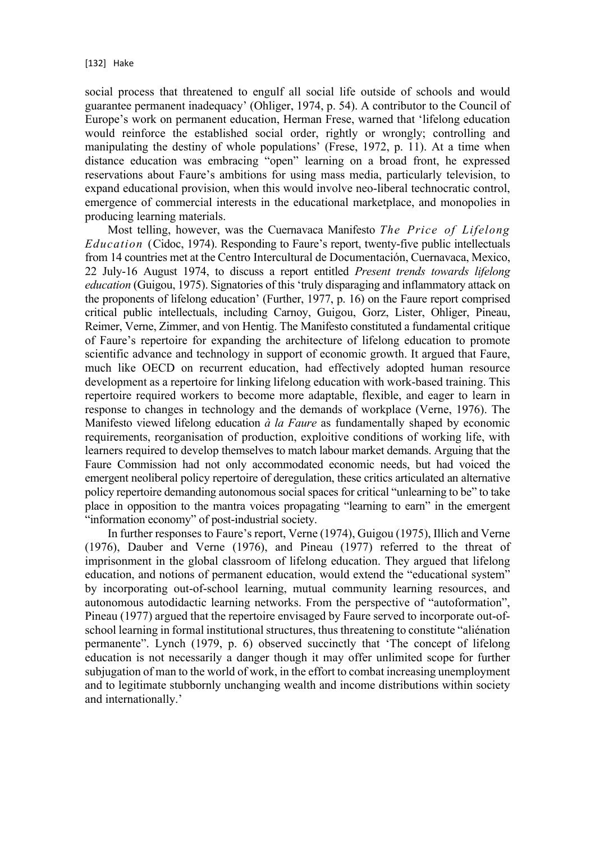social process that threatened to engulf all social life outside of schools and would guarantee permanent inadequacy' (Ohliger, 1974, p. 54). A contributor to the Council of Europe's work on permanent education, Herman Frese, warned that 'lifelong education would reinforce the established social order, rightly or wrongly; controlling and manipulating the destiny of whole populations' (Frese, 1972, p. 11). At a time when distance education was embracing "open" learning on a broad front, he expressed reservations about Faure's ambitions for using mass media, particularly television, to expand educational provision, when this would involve neo-liberal technocratic control, emergence of commercial interests in the educational marketplace, and monopolies in producing learning materials.

Most telling, however, was the Cuernavaca Manifesto *The Price of Lifelong Education* (Cidoc, 1974). Responding to Faure's report, twenty-five public intellectuals from 14 countries met at the Centro Intercultural de Documentación, Cuernavaca, Mexico, 22 July-16 August 1974, to discuss a report entitled *Present trends towards lifelong education* (Guigou, 1975). Signatories of this 'truly disparaging and inflammatory attack on the proponents of lifelong education' (Further, 1977, p. 16) on the Faure report comprised critical public intellectuals, including Carnoy, Guigou, Gorz, Lister, Ohliger, Pineau, Reimer, Verne, Zimmer, and von Hentig. The Manifesto constituted a fundamental critique of Faure's repertoire for expanding the architecture of lifelong education to promote scientific advance and technology in support of economic growth. It argued that Faure, much like OECD on recurrent education, had effectively adopted human resource development as a repertoire for linking lifelong education with work-based training. This repertoire required workers to become more adaptable, flexible, and eager to learn in response to changes in technology and the demands of workplace (Verne, 1976). The Manifesto viewed lifelong education *à la Faure* as fundamentally shaped by economic requirements, reorganisation of production, exploitive conditions of working life, with learners required to develop themselves to match labour market demands. Arguing that the Faure Commission had not only accommodated economic needs, but had voiced the emergent neoliberal policy repertoire of deregulation, these critics articulated an alternative policy repertoire demanding autonomous social spaces for critical "unlearning to be" to take place in opposition to the mantra voices propagating "learning to earn" in the emergent "information economy" of post-industrial society.

In further responses to Faure's report, Verne (1974), Guigou (1975), Illich and Verne (1976), Dauber and Verne (1976), and Pineau (1977) referred to the threat of imprisonment in the global classroom of lifelong education. They argued that lifelong education, and notions of permanent education, would extend the "educational system" by incorporating out-of-school learning, mutual community learning resources, and autonomous autodidactic learning networks. From the perspective of "autoformation", Pineau (1977) argued that the repertoire envisaged by Faure served to incorporate out-ofschool learning in formal institutional structures, thus threatening to constitute "aliénation permanente". Lynch (1979, p. 6) observed succinctly that 'The concept of lifelong education is not necessarily a danger though it may offer unlimited scope for further subjugation of man to the world of work, in the effort to combat increasing unemployment and to legitimate stubbornly unchanging wealth and income distributions within society and internationally.'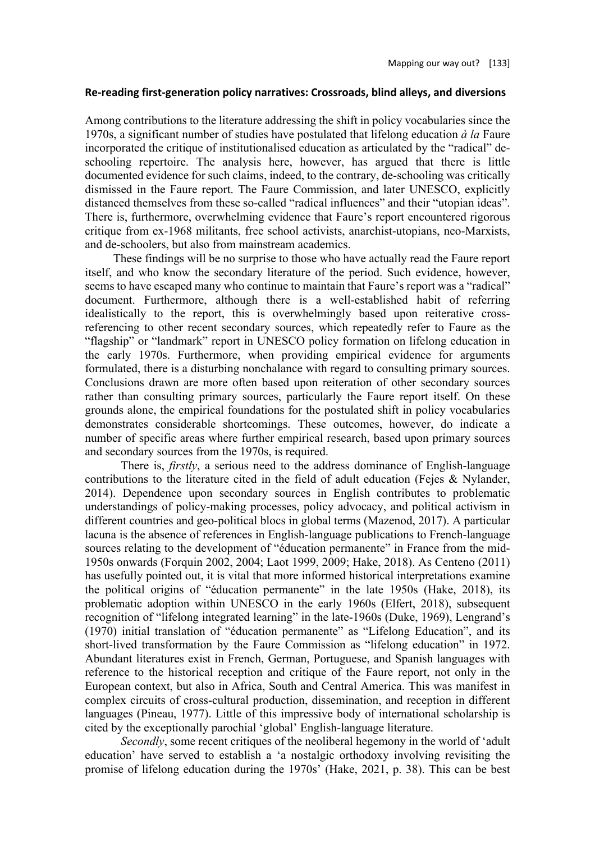### **Re-reading first-generation policy narratives: Crossroads, blind alleys, and diversions**

Among contributions to the literature addressing the shift in policy vocabularies since the 1970s, a significant number of studies have postulated that lifelong education *à la* Faure incorporated the critique of institutionalised education as articulated by the "radical" deschooling repertoire. The analysis here, however, has argued that there is little documented evidence for such claims, indeed, to the contrary, de-schooling was critically dismissed in the Faure report. The Faure Commission, and later UNESCO, explicitly distanced themselves from these so-called "radical influences" and their "utopian ideas". There is, furthermore, overwhelming evidence that Faure's report encountered rigorous critique from ex-1968 militants, free school activists, anarchist-utopians, neo-Marxists, and de-schoolers, but also from mainstream academics.

These findings will be no surprise to those who have actually read the Faure report itself, and who know the secondary literature of the period. Such evidence, however, seems to have escaped many who continue to maintain that Faure's report was a "radical" document. Furthermore, although there is a well-established habit of referring idealistically to the report, this is overwhelmingly based upon reiterative crossreferencing to other recent secondary sources, which repeatedly refer to Faure as the "flagship" or "landmark" report in UNESCO policy formation on lifelong education in the early 1970s. Furthermore, when providing empirical evidence for arguments formulated, there is a disturbing nonchalance with regard to consulting primary sources. Conclusions drawn are more often based upon reiteration of other secondary sources rather than consulting primary sources, particularly the Faure report itself. On these grounds alone, the empirical foundations for the postulated shift in policy vocabularies demonstrates considerable shortcomings. These outcomes, however, do indicate a number of specific areas where further empirical research, based upon primary sources and secondary sources from the 1970s, is required.

There is, *firstly*, a serious need to the address dominance of English-language contributions to the literature cited in the field of adult education (Fejes & Nylander, 2014). Dependence upon secondary sources in English contributes to problematic understandings of policy-making processes, policy advocacy, and political activism in different countries and geo-political blocs in global terms (Mazenod, 2017). A particular lacuna is the absence of references in English-language publications to French-language sources relating to the development of "éducation permanente" in France from the mid-1950s onwards (Forquin 2002, 2004; Laot 1999, 2009; Hake, 2018). As Centeno (2011) has usefully pointed out, it is vital that more informed historical interpretations examine the political origins of "éducation permanente" in the late 1950s (Hake, 2018), its problematic adoption within UNESCO in the early 1960s (Elfert, 2018), subsequent recognition of "lifelong integrated learning" in the late-1960s (Duke, 1969), Lengrand's (1970) initial translation of "éducation permanente" as "Lifelong Education", and its short-lived transformation by the Faure Commission as "lifelong education" in 1972. Abundant literatures exist in French, German, Portuguese, and Spanish languages with reference to the historical reception and critique of the Faure report, not only in the European context, but also in Africa, South and Central America. This was manifest in complex circuits of cross-cultural production, dissemination, and reception in different languages (Pineau, 1977). Little of this impressive body of international scholarship is cited by the exceptionally parochial 'global' English-language literature.

*Secondly*, some recent critiques of the neoliberal hegemony in the world of 'adult education' have served to establish a 'a nostalgic orthodoxy involving revisiting the promise of lifelong education during the 1970s' (Hake, 2021, p. 38). This can be best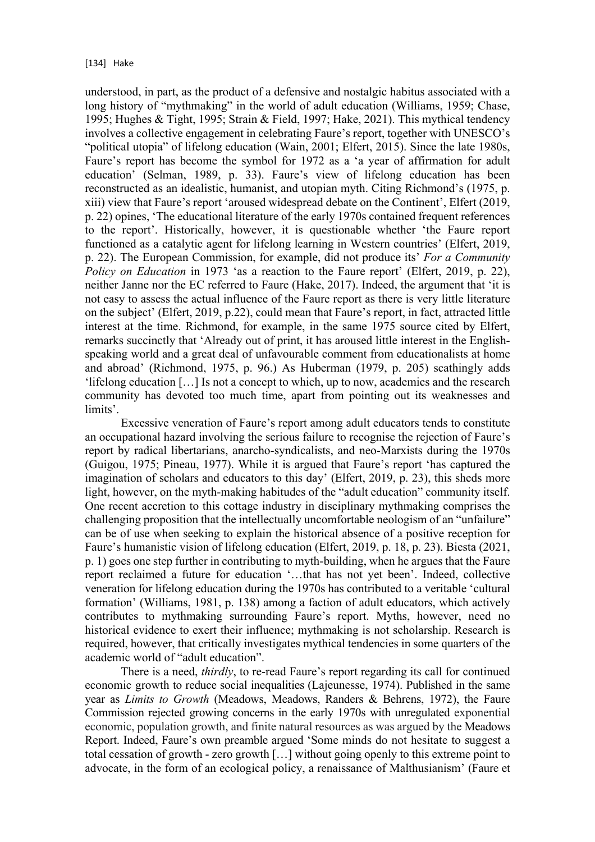understood, in part, as the product of a defensive and nostalgic habitus associated with a long history of "mythmaking" in the world of adult education (Williams, 1959; Chase, 1995; Hughes & Tight, 1995; Strain & Field, 1997; Hake, 2021). This mythical tendency involves a collective engagement in celebrating Faure's report, together with UNESCO's "political utopia" of lifelong education (Wain, 2001; Elfert, 2015). Since the late 1980s, Faure's report has become the symbol for 1972 as a 'a year of affirmation for adult education' (Selman, 1989, p. 33). Faure's view of lifelong education has been reconstructed as an idealistic, humanist, and utopian myth. Citing Richmond's (1975, p. xiii) view that Faure's report 'aroused widespread debate on the Continent', Elfert (2019, p. 22) opines, 'The educational literature of the early 1970s contained frequent references to the report'. Historically, however, it is questionable whether 'the Faure report functioned as a catalytic agent for lifelong learning in Western countries' (Elfert, 2019, p. 22). The European Commission, for example, did not produce its' *For a Community Policy on Education* in 1973 'as a reaction to the Faure report' (Elfert, 2019, p. 22), neither Janne nor the EC referred to Faure (Hake, 2017). Indeed, the argument that 'it is not easy to assess the actual influence of the Faure report as there is very little literature on the subject' (Elfert, 2019, p.22), could mean that Faure's report, in fact, attracted little interest at the time. Richmond, for example, in the same 1975 source cited by Elfert, remarks succinctly that 'Already out of print, it has aroused little interest in the Englishspeaking world and a great deal of unfavourable comment from educationalists at home and abroad' (Richmond, 1975, p. 96.) As Huberman (1979, p. 205) scathingly adds 'lifelong education […] Is not a concept to which, up to now, academics and the research community has devoted too much time, apart from pointing out its weaknesses and limits'.

Excessive veneration of Faure's report among adult educators tends to constitute an occupational hazard involving the serious failure to recognise the rejection of Faure's report by radical libertarians, anarcho-syndicalists, and neo-Marxists during the 1970s (Guigou, 1975; Pineau, 1977). While it is argued that Faure's report 'has captured the imagination of scholars and educators to this day' (Elfert, 2019, p. 23), this sheds more light, however, on the myth-making habitudes of the "adult education" community itself. One recent accretion to this cottage industry in disciplinary mythmaking comprises the challenging proposition that the intellectually uncomfortable neologism of an "unfailure" can be of use when seeking to explain the historical absence of a positive reception for Faure's humanistic vision of lifelong education (Elfert, 2019, p. 18, p. 23). Biesta (2021, p. 1) goes one step further in contributing to myth-building, when he argues that the Faure report reclaimed a future for education '…that has not yet been'. Indeed, collective veneration for lifelong education during the 1970s has contributed to a veritable 'cultural formation' (Williams, 1981, p. 138) among a faction of adult educators, which actively contributes to mythmaking surrounding Faure's report. Myths, however, need no historical evidence to exert their influence; mythmaking is not scholarship. Research is required, however, that critically investigates mythical tendencies in some quarters of the academic world of "adult education".

There is a need, *thirdly*, to re-read Faure's report regarding its call for continued economic growth to reduce social inequalities (Lajeunesse, 1974). Published in the same year as *Limits to Growth* (Meadows, Meadows, Randers & Behrens, 1972), the Faure Commission rejected growing concerns in the early 1970s with unregulated exponential economic, population growth, and finite natural resources as was argued by the Meadows Report. Indeed, Faure's own preamble argued 'Some minds do not hesitate to suggest a total cessation of growth - zero growth […] without going openly to this extreme point to advocate, in the form of an ecological policy, a renaissance of Malthusianism' (Faure et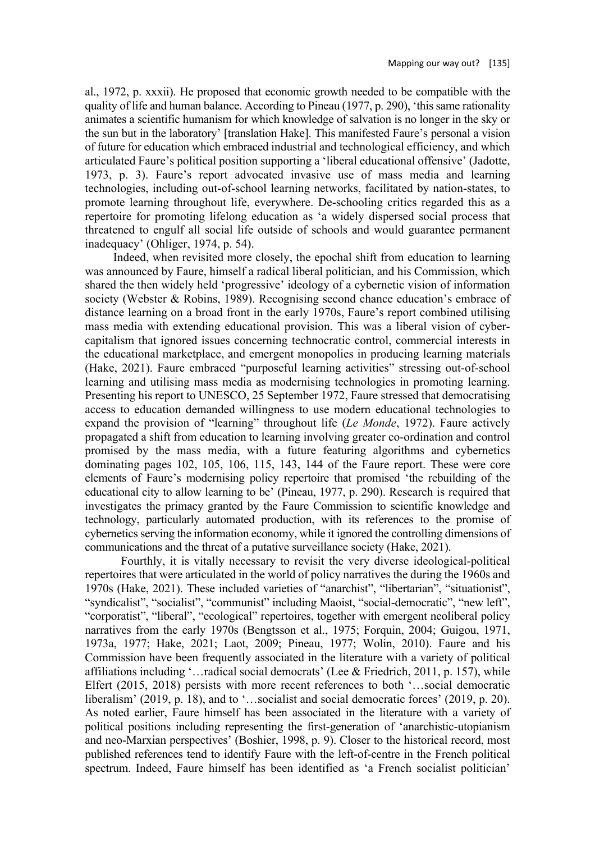al., 1972, p. xxxii). He proposed that economic growth needed to be compatible with the quality of life and human balance. According to Pineau (1977, p. 290), 'this same rationality animates a scientific humanism for which knowledge of salvation is no longer in the sky or the sun but in the laboratory' [translation Hake]. This manifested Faure's personal a vision of future for education which embraced industrial and technological efficiency, and which articulated Faure's political position supporting a 'liberal educational offensive' (Jadotte, 1973, p. 3). Faure's report advocated invasive use of mass media and learning technologies, including out-of-school learning networks, facilitated by nation-states, to promote learning throughout life, everywhere. De-schooling critics regarded this as a repertoire for promoting lifelong education as 'a widely dispersed social process that threatened to engulf all social life outside of schools and would guarantee permanent inadequacy' (Ohliger, 1974, p. 54).

Indeed, when revisited more closely, the epochal shift from education to learning was announced by Faure, himself a radical liberal politician, and his Commission, which shared the then widely held 'progressive' ideology of a cybernetic vision of information society (Webster & Robins, 1989). Recognising second chance education's embrace of distance learning on a broad front in the early 1970s, Faure's report combined utilising mass media with extending educational provision. This was a liberal vision of cybercapitalism that ignored issues concerning technocratic control, commercial interests in the educational marketplace, and emergent monopolies in producing learning materials (Hake, 2021). Faure embraced "purposeful learning activities" stressing out-of-school learning and utilising mass media as modernising technologies in promoting learning. Presenting his report to UNESCO, 25 September 1972, Faure stressed that democratising access to education demanded willingness to use modern educational technologies to expand the provision of "learning" throughout life (*Le Monde*, 1972). Faure actively propagated a shift from education to learning involving greater co-ordination and control promised by the mass media, with a future featuring algorithms and cybernetics dominating pages 102, 105, 106, 115, 143, 144 of the Faure report. These were core elements of Faure's modernising policy repertoire that promised 'the rebuilding of the educational city to allow learning to be' (Pineau, 1977, p. 290). Research is required that investigates the primacy granted by the Faure Commission to scientific knowledge and technology, particularly automated production, with its references to the promise of cybernetics serving the information economy, while it ignored the controlling dimensions of communications and the threat of a putative surveillance society (Hake, 2021).

Fourthly, it is vitally necessary to revisit the very diverse ideological-political repertoires that were articulated in the world of policy narratives the during the 1960s and 1970s (Hake, 2021). These included varieties of "anarchist", "libertarian", "situationist", "syndicalist", "socialist", "communist" including Maoist, "social-democratic", "new left", "corporatist", "liberal", "ecological" repertoires, together with emergent neoliberal policy narratives from the early 1970s (Bengtsson et al., 1975; Forquin, 2004; Guigou, 1971, 1973a, 1977; Hake, 2021; Laot, 2009; Pineau, 1977; Wolin, 2010). Faure and his Commission have been frequently associated in the literature with a variety of political affiliations including '…radical social democrats' (Lee & Friedrich, 2011, p. 157), while Elfert (2015, 2018) persists with more recent references to both '…social democratic liberalism' (2019, p. 18), and to '…socialist and social democratic forces' (2019, p. 20). As noted earlier, Faure himself has been associated in the literature with a variety of political positions including representing the first-generation of 'anarchistic-utopianism and neo-Marxian perspectives' (Boshier, 1998, p. 9). Closer to the historical record, most published references tend to identify Faure with the left-of-centre in the French political spectrum. Indeed, Faure himself has been identified as 'a French socialist politician'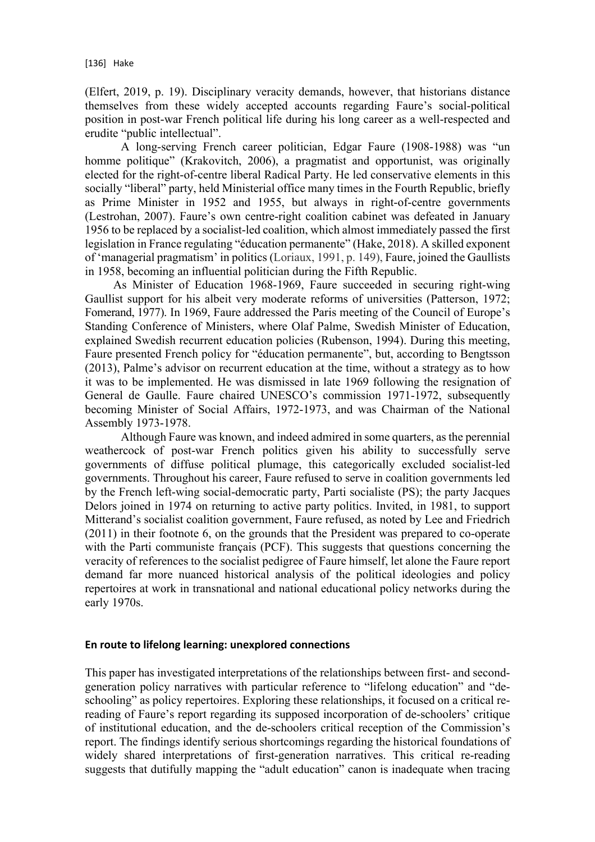(Elfert, 2019, p. 19). Disciplinary veracity demands, however, that historians distance themselves from these widely accepted accounts regarding Faure's social-political position in post-war French political life during his long career as a well-respected and erudite "public intellectual".

A long-serving French career politician, Edgar Faure (1908-1988) was "un homme politique" (Krakovitch, 2006), a pragmatist and opportunist, was originally elected for the right-of-centre liberal Radical Party. He led conservative elements in this socially "liberal" party, held Ministerial office many times in the Fourth Republic, briefly as Prime Minister in 1952 and 1955, but always in right-of-centre governments (Lestrohan, 2007). Faure's own centre-right coalition cabinet was defeated in January 1956 to be replaced by a socialist-led coalition, which almost immediately passed the first legislation in France regulating "éducation permanente" (Hake, 2018). A skilled exponent of 'managerial pragmatism' in politics (Loriaux, 1991, p. 149), Faure, joined the Gaullists in 1958, becoming an influential politician during the Fifth Republic.

As Minister of Education 1968-1969, Faure succeeded in securing right-wing Gaullist support for his albeit very moderate reforms of universities (Patterson, 1972; Fomerand, 1977). In 1969, Faure addressed the Paris meeting of the Council of Europe's Standing Conference of Ministers, where Olaf Palme, Swedish Minister of Education, explained Swedish recurrent education policies (Rubenson, 1994). During this meeting, Faure presented French policy for "éducation permanente", but, according to Bengtsson (2013), Palme's advisor on recurrent education at the time, without a strategy as to how it was to be implemented. He was dismissed in late 1969 following the resignation of General de Gaulle. Faure chaired UNESCO's commission 1971-1972, subsequently becoming Minister of Social Affairs, 1972-1973, and was Chairman of the National Assembly 1973-1978.

Although Faure was known, and indeed admired in some quarters, as the perennial weathercock of post-war French politics given his ability to successfully serve governments of diffuse political plumage, this categorically excluded socialist-led governments. Throughout his career, Faure refused to serve in coalition governments led by the French left-wing social-democratic party, Parti socialiste (PS); the party Jacques Delors joined in 1974 on returning to active party politics. Invited, in 1981, to support Mitterand's socialist coalition government, Faure refused, as noted by Lee and Friedrich (2011) in their footnote 6, on the grounds that the President was prepared to co-operate with the Parti communiste français (PCF). This suggests that questions concerning the veracity of references to the socialist pedigree of Faure himself, let alone the Faure report demand far more nuanced historical analysis of the political ideologies and policy repertoires at work in transnational and national educational policy networks during the early 1970s.

### **En route to lifelong learning: unexplored connections**

This paper has investigated interpretations of the relationships between first- and secondgeneration policy narratives with particular reference to "lifelong education" and "deschooling" as policy repertoires. Exploring these relationships, it focused on a critical rereading of Faure's report regarding its supposed incorporation of de-schoolers' critique of institutional education, and the de-schoolers critical reception of the Commission's report. The findings identify serious shortcomings regarding the historical foundations of widely shared interpretations of first-generation narratives. This critical re-reading suggests that dutifully mapping the "adult education" canon is inadequate when tracing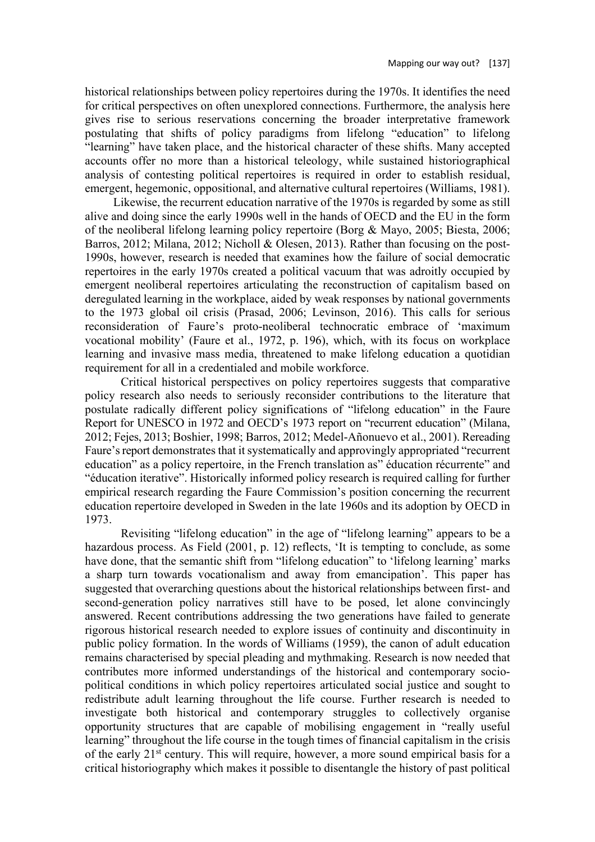historical relationships between policy repertoires during the 1970s. It identifies the need for critical perspectives on often unexplored connections. Furthermore, the analysis here gives rise to serious reservations concerning the broader interpretative framework postulating that shifts of policy paradigms from lifelong "education" to lifelong "learning" have taken place, and the historical character of these shifts. Many accepted accounts offer no more than a historical teleology, while sustained historiographical analysis of contesting political repertoires is required in order to establish residual, emergent, hegemonic, oppositional, and alternative cultural repertoires (Williams, 1981).

Likewise, the recurrent education narrative of the 1970s is regarded by some as still alive and doing since the early 1990s well in the hands of OECD and the EU in the form of the neoliberal lifelong learning policy repertoire (Borg & Mayo, 2005; Biesta, 2006; Barros, 2012; Milana, 2012; Nicholl & Olesen, 2013). Rather than focusing on the post-1990s, however, research is needed that examines how the failure of social democratic repertoires in the early 1970s created a political vacuum that was adroitly occupied by emergent neoliberal repertoires articulating the reconstruction of capitalism based on deregulated learning in the workplace, aided by weak responses by national governments to the 1973 global oil crisis (Prasad, 2006; Levinson, 2016). This calls for serious reconsideration of Faure's proto-neoliberal technocratic embrace of 'maximum vocational mobility' (Faure et al., 1972, p. 196), which, with its focus on workplace learning and invasive mass media, threatened to make lifelong education a quotidian requirement for all in a credentialed and mobile workforce.

Critical historical perspectives on policy repertoires suggests that comparative policy research also needs to seriously reconsider contributions to the literature that postulate radically different policy significations of "lifelong education" in the Faure Report for UNESCO in 1972 and OECD's 1973 report on "recurrent education" (Milana, 2012; Fejes, 2013; Boshier, 1998; Barros, 2012; Medel-Añonuevo et al., 2001). Rereading Faure's report demonstrates that it systematically and approvingly appropriated "recurrent education" as a policy repertoire, in the French translation as" éducation récurrente" and "éducation iterative". Historically informed policy research is required calling for further empirical research regarding the Faure Commission's position concerning the recurrent education repertoire developed in Sweden in the late 1960s and its adoption by OECD in 1973.

Revisiting "lifelong education" in the age of "lifelong learning" appears to be a hazardous process. As Field (2001, p. 12) reflects, 'It is tempting to conclude, as some have done, that the semantic shift from "lifelong education" to 'lifelong learning' marks a sharp turn towards vocationalism and away from emancipation'. This paper has suggested that overarching questions about the historical relationships between first- and second-generation policy narratives still have to be posed, let alone convincingly answered. Recent contributions addressing the two generations have failed to generate rigorous historical research needed to explore issues of continuity and discontinuity in public policy formation. In the words of Williams (1959), the canon of adult education remains characterised by special pleading and mythmaking. Research is now needed that contributes more informed understandings of the historical and contemporary sociopolitical conditions in which policy repertoires articulated social justice and sought to redistribute adult learning throughout the life course. Further research is needed to investigate both historical and contemporary struggles to collectively organise opportunity structures that are capable of mobilising engagement in "really useful learning" throughout the life course in the tough times of financial capitalism in the crisis of the early 21st century. This will require, however, a more sound empirical basis for a critical historiography which makes it possible to disentangle the history of past political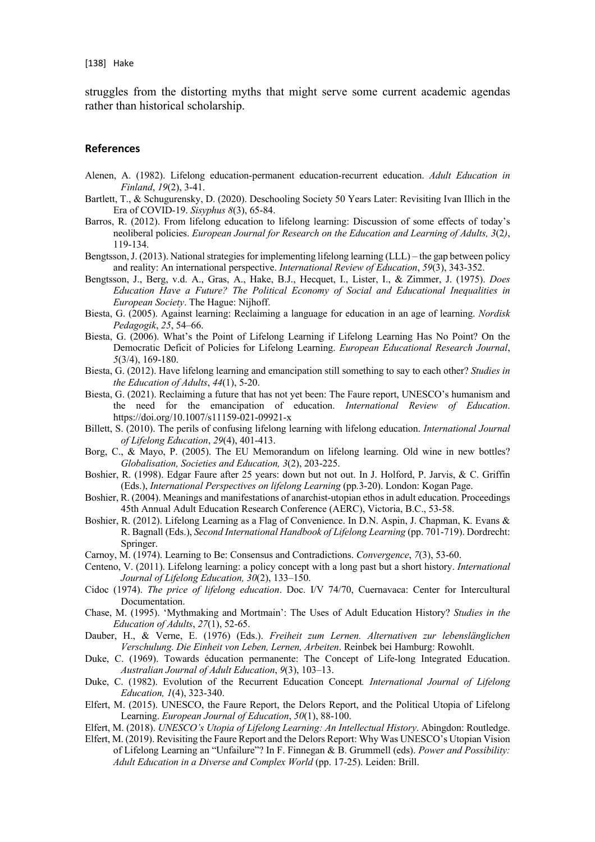struggles from the distorting myths that might serve some current academic agendas rather than historical scholarship.

#### **References**

- Alenen, A. (1982). Lifelong education-permanent education-recurrent education. *Adult Education in Finland*, *19*(2), 3-41.
- Bartlett, T., & Schugurensky, D. (2020). Deschooling Society 50 Years Later: Revisiting Ivan Illich in the Era of COVID-19. *Sisyphus 8*(3), 65-84.
- Barros, R. (2012). From lifelong education to lifelong learning: Discussion of some effects of today's neoliberal policies. *European Journal for Research on the Education and Learning of Adults, 3*(2*)*, 119-134.
- Bengtsson, J. (2013). National strategies for implementing lifelong learning (LLL) the gap between policy and reality: An international perspective. *International Review of Education*, *59*(3), 343-352.
- Bengtsson, J., Berg, v.d. A., Gras, A., Hake, B.J., Hecquet, I., Lister, I., & Zimmer, J. (1975). *Does Education Have a Future? The Political Economy of Social and Educational Inequalities in European Society*. The Hague: Nijhoff.
- Biesta, G. (2005). Against learning: Reclaiming a language for education in an age of learning. *Nordisk Pedagogik*, *25*, 54–66.
- Biesta, G. (2006). What's the Point of Lifelong Learning if Lifelong Learning Has No Point? On the Democratic Deficit of Policies for Lifelong Learning. *European Educational Research Journal*, *5*(3/4), 169-180.
- Biesta, G. (2012). Have lifelong learning and emancipation still something to say to each other? *Studies in the Education of Adults*, *44*(1), 5-20.
- Biesta, G. (2021). Reclaiming a future that has not yet been: The Faure report, UNESCO's humanism and the need for the emancipation of education. *International Review of Education*. https://doi.org/10.1007/s11159-021-09921-x
- Billett, S. (2010). The perils of confusing lifelong learning with lifelong education. *International Journal of Lifelong Education*, *29*(4), 401-413.
- Borg, C., & Mayo, P. (2005). The EU Memorandum on lifelong learning. Old wine in new bottles? *Globalisation, Societies and Education, 3*(2), 203-225.
- Boshier, R. (1998). Edgar Faure after 25 years: down but not out. In J. Holford, P. Jarvis, & C. Griffin (Eds.), *International Perspectives on lifelong Learning* (pp*.*3-20). London: Kogan Page.
- Boshier, R. (2004). Meanings and manifestations of anarchist-utopian ethos in adult education. Proceedings 45th Annual Adult Education Research Conference (AERC), Victoria, B.C., 53-58.
- Boshier, R. (2012). Lifelong Learning as a Flag of Convenience. In D.N. Aspin, J. Chapman, K. Evans & R. Bagnall (Eds.), *Second International Handbook of Lifelong Learning* (pp. 701-719). Dordrecht: Springer.
- Carnoy, M. (1974). Learning to Be: Consensus and Contradictions. *Convergence*, *7*(3), 53-60.
- Centeno, V. (2011). Lifelong learning: a policy concept with a long past but a short history. *International Journal of Lifelong Education, 30*(2), 133–150.
- Cidoc (1974). *The price of lifelong education*. Doc. I/V 74/70, Cuernavaca: Center for Intercultural Documentation.
- Chase, M. (1995). 'Mythmaking and Mortmain': The Uses of Adult Education History? *Studies in the Education of Adults*, *27*(1), 52-65.
- Dauber, H., & Verne, E. (1976) (Eds.). *Freiheit zum Lernen. Alternativen zur lebenslänglichen Verschulung. Die Einheit von Leben, Lernen, Arbeiten*. Reinbek bei Hamburg: Rowohlt.
- Duke, C. (1969). Towards éducation permanente: The Concept of Life-long Integrated Education. *Australian Journal of Adult Education*, *9*(3), 103–13.
- Duke, C. (1982). Evolution of the Recurrent Education Concept*. International Journal of Lifelong Education, 1*(4), 323-340.
- Elfert, M. (2015). UNESCO, the Faure Report, the Delors Report, and the Political Utopia of Lifelong Learning. *European Journal of Education*, *50*(1), 88-100.
- Elfert, M. (2018). *UNESCO's Utopia of Lifelong Learning: An Intellectual History*. Abingdon: Routledge.
- Elfert, M. (2019). Revisiting the Faure Report and the Delors Report: Why Was UNESCO's Utopian Vision of Lifelong Learning an "Unfailure"? In F. Finnegan & B. Grummell (eds). *Power and Possibility: Adult Education in a Diverse and Complex World* (pp. 17-25). Leiden: Brill.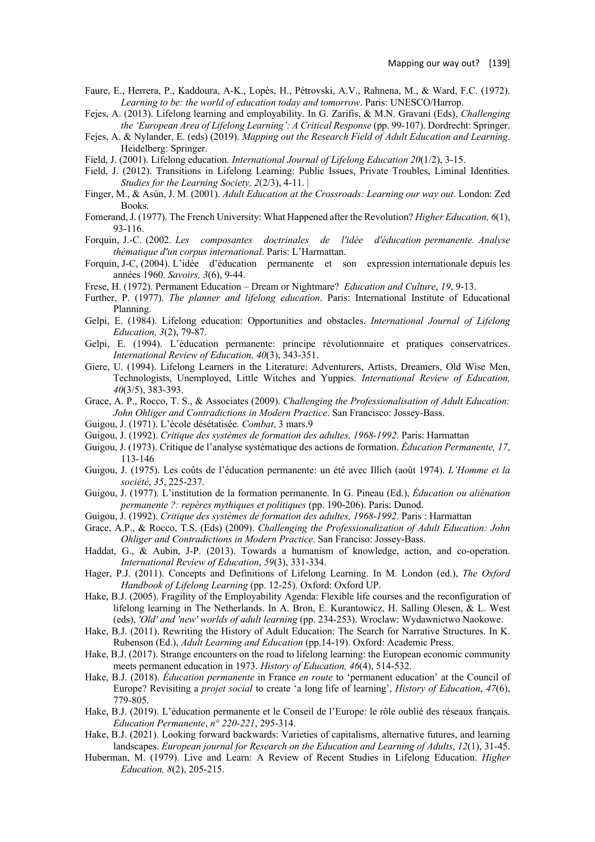- Faure, E., Herrera, P., Kaddoura, A-K., Lopès, H., Pétrovski, A.V., Rahnena, M., & Ward, F.C. (1972). *Learning to be: the world of education today and tomorrow*. Paris: UNESCO/Harrop.
- Fejes, A. (2013). Lifelong learning and employability. In G. Zarifis, & M.N. Gravani (Eds), *Challenging the 'European Area of Lifelong Learning': A Critical Response* (pp. 99-107). Dordrecht: Springer.
- Fejes, A. & Nylander, E. (eds) (2019). *Mapping out the Research Field of Adult Education and Learning*. Heidelberg: Springer.
- Field, J. (2001). Lifelong education. *International Journal of Lifelong Education 20*(1/2), 3-15.
- Field, J. (2012). Transitions in Lifelong Learning: Public Issues, Private Troubles, Liminal Identities. *Studies for the Learning Society, 2*(2/3), 4-11. |
- Finger, M., & Asún, J. M. (2001). *Adult Education at the Crossroads: Learning our way out*. London: Zed Books.
- Fomerand, J. (1977). The French University: What Happened after the Revolution? *Higher Education, 6*(1), 93-116.
- Forquin, J.-C. (2002. *Les composantes doctrinales de l'idée d'éducation permanente. Analyse thématique d'un corpus international*. Paris: L'Harmattan.
- Forquin, J-C, (2004). L'idée d'éducation permanente et son expression internationale depuis les années 1960. *Savoirs, 3*(6), 9-44.
- Frese, H. (1972). Permanent Education Dream or Nightmare? *Education and Culture*, *19*, 9-13.
- Further, P. (1977). *The planner and lifelong education*. Paris: International Institute of Educational Planning.
- Gelpi, E. (1984). Lifelong education: Opportunities and obstacles. *International Journal of Lifelong Education, 3*(2), 79-87.
- Gelpi, E. (1994). L'éducation permanente: principe révolutionnaire et pratiques conservatrices. *International Review of Education, 40*(3), 343-351.
- Giere, U. (1994). Lifelong Learners in the Literature: Adventurers, Artists, Dreamers, Old Wise Men, Technologists, Unemployed, Little Witches and Yuppies. *International Review of Education, 40*(3/5), 383-393.
- Grace, A. P., Rocco, T. S., & Associates (2009). *Challenging the Professionalisation of Adult Education: John Ohliger and Contradictions in Modern Practice*. San Francisco: Jossey-Bass.
- Guigou, J. (1971). L'école désétatisée. *Combat*, 3 mars.9
- Guigou, J. (1992). *Critique des systèmes de formation des adultes, 1968-1992.* Paris: Harmattan
- Guigou, J. (1973). Critique de l'analyse systématique des actions de formation. *Ėducation Permanente, 17*, 113-146
- Guigou, J. (1975). Les coûts de l'éducation permanente: un été avec Illich (août 1974). *L'Homme et la société*, *35*, 225-237.
- Guigou, J. (1977). L'institution de la formation permanente. In G. Pineau (Ed.), *Ėducation ou aliénation permanente ?: repères mythiques et politiques* (pp. 190-206). Paris: Dunod.
- Guigou, J. (1992). *Critique des systèmes de formation des adultes, 1968-1992*. Paris : Harmattan
- Grace, A.P., & Rocco, T.S. (Eds) (2009). *Challenging the Professionalization of Adult Education: John Ohliger and Contradictions in Modern Practice*. San Franciso: Jossey-Bass.
- Haddat, G., & Aubin, J-P. (2013). Towards a humanism of knowledge, action, and co-operation. *International Review of Education*, *59*(3), 331-334.
- Hager, P.J. (2011). Concepts and Definitions of Lifelong Learning. In M. London (ed.), *The Oxford Handbook of Lifelong Learning* (pp. 12-25). Oxford: Oxford UP.
- Hake, B.J. (2005). Fragility of the Employability Agenda: Flexible life courses and the reconfiguration of lifelong learning in The Netherlands. In A. Bron, E. Kurantowicz, H. Salling Olesen, & L. West (eds), *'Old' and 'new' worlds of adult learning* (pp. 234-253). Wroclaw: Wydawnictwo Naokowe.
- Hake, B.J. (2011). Rewriting the History of Adult Education: The Search for Narrative Structures. In K. Rubenson (Ed.), *Adult Learning and Education* (pp.14-19). Oxford: Academic Press.
- Hake, B.J. (2017). Strange encounters on the road to lifelong learning: the European economic community meets permanent education in 1973. *History of Education, 46*(4), 514-532.
- Hake, B.J. (2018). *Éducation permanente* in France *en route* to 'permanent education' at the Council of Europe? Revisiting a *projet social* to create 'a long life of learning', *History of Education*, *47*(6), 779-805.
- Hake, B.J. (2019). L'éducation permanente et le Conseil de l'Europe: le rôle oublié des réseaux français. *Education Permanente*, *n° 220-221*, 295-314.
- Hake, B.J. (2021). Looking forward backwards: Varieties of capitalisms, alternative futures, and learning landscapes. *European journal for Research on the Education and Learning of Adults*, *12*(1), 31-45.
- Huberman, M. (1979). Live and Learn: A Review of Recent Studies in Lifelong Education. *Higher Education, 8*(2), 205-215.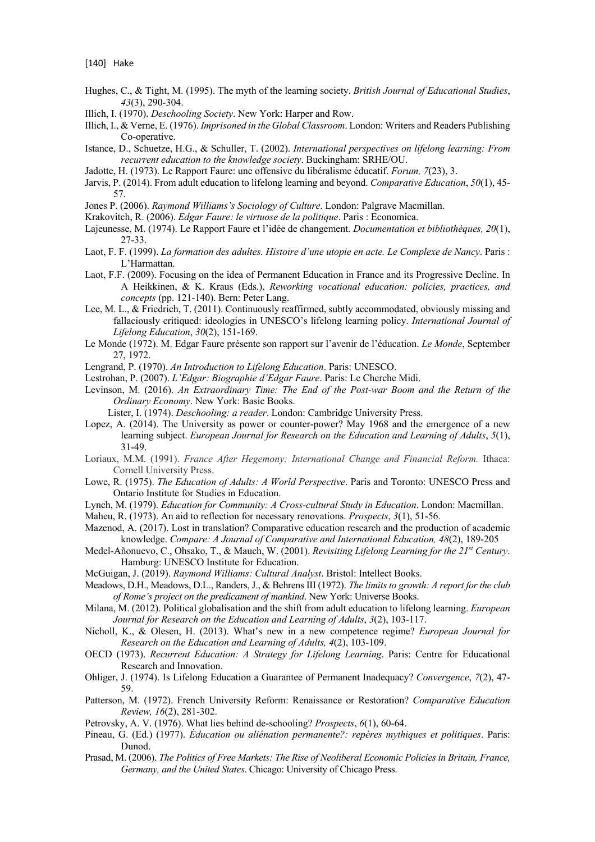- Hughes, C., & Tight, M. (1995). The myth of the learning society. *British Journal of Educational Studies*, *43*(3), 290-304.
- Illich, I. (1970). *Deschooling Society*. New York: Harper and Row.
- Illich, I., & Verne, E. (1976). *Imprisoned in the Global Classroom*. London: Writers and Readers Publishing Co-operative.
- Istance, D., Schuetze, H.G., & Schuller, T. (2002). *International perspectives on lifelong learning: From recurrent education to the knowledge society*. Buckingham: SRHE/OU.
- Jadotte, H. (1973). Le Rapport Faure: une offensive du libéralisme éducatif. *Forum, 7*(23), 3.
- Jarvis, P. (2014). From adult education to lifelong learning and beyond. *Comparative Education*, *50*(1), 45- 57.
- Jones P. (2006). *Raymond Williams's Sociology of Culture*. London: Palgrave Macmillan.
- Krakovitch, R. (2006). *Edgar Faure: le virtuose de la politique*. Paris : Economica.
- Lajeunesse, M. (1974). Le Rapport Faure et l'idée de changement. *Documentation et bibliothèques, 20*(1), 27-33.
- Laot, F. F. (1999). *La formation des adultes. Histoire d'une utopie en acte. Le Complexe de Nancy*. Paris : L'Harmattan.
- Laot, F.F. (2009). Focusing on the idea of Permanent Education in France and its Progressive Decline. In A Heikkinen, & K. Kraus (Eds.), *Reworking vocational education: policies, practices, and concepts* (pp. 121-140). Bern: Peter Lang.
- Lee, M. L., & Friedrich, T. (2011). Continuously reaffirmed, subtly accommodated, obviously missing and fallaciously critiqued: ideologies in UNESCO's lifelong learning policy. *International Journal of Lifelong Education*, *30*(2), 151-169.
- Le Monde (1972). M. Edgar Faure présente son rapport sur l'avenir de l'éducation. *Le Monde*, September 27, 1972.
- Lengrand, P. (1970). *An Introduction to Lifelong Education*. Paris: UNESCO.
- Lestrohan, P. (2007). *L'Edgar: Biographie d'Edgar Faure*. Paris: Le Cherche Midi.
- Levinson, M. (2016). *An Extraordinary Time: The End of the Post-war Boom and the Return of the Ordinary Economy*. New York: Basic Books.
	- Lister, I. (1974). *Deschooling: a reader*. London: Cambridge University Press.
- Lopez, A. (2014). The University as power or counter-power? May 1968 and the emergence of a new learning subject. *European Journal for Research on the Education and Learning of Adults*, *5*(1), 31-49.
- Loriaux, M.M. (1991). *France After Hegemony: International Change and Financial Reform.* Ithaca: Cornell University Press.
- Lowe, R. (1975). *The Education of Adults: A World Perspective*. Paris and Toronto: UNESCO Press and Ontario Institute for Studies in Education.
- Lynch, M. (1979). *Education for Community: A Cross-cultural Study in Education*. London: Macmillan.
- Maheu, R. (1973). An aid to reflection for necessary renovations. *Prospects*, *3*(1), 51-56.
- Mazenod, A. (2017). Lost in translation? Comparative education research and the production of academic knowledge. *Compare: A Journal of Comparative and International Education, 48*(2), 189-205
- Medel-Añonuevo, C., Ohsako, T., & Mauch, W. (2001). *Revisiting Lifelong Learning for the 21st Century*. Hamburg: UNESCO Institute for Education.
- McGuigan, J. (2019). *Raymond Williams: Cultural Analyst*. Bristol: Intellect Books.
- Meadows, D.H., Meadows, D.L., Randers, J., & Behrens III (1972). *The limits to growth: A report for the club of Rome's project on the predicament of mankind*. New York: Universe Books.
- Milana, M. (2012). Political globalisation and the shift from adult education to lifelong learning. *European Journal for Research on the Education and Learning of Adults*, *3*(2), 103-117.
- Nicholl, K., & Olesen, H. (2013). What's new in a new competence regime? *European Journal for Research on the Education and Learning of Adults, 4*(2), 103-109.
- OECD (1973). *Recurrent Education: A Strategy for Lifelong Learning*. Paris: Centre for Educational Research and Innovation.
- Ohliger, J. (1974). Is Lifelong Education a Guarantee of Permanent Inadequacy? *Convergence*, *7*(2), 47- 59.
- Patterson, M. (1972). French University Reform: Renaissance or Restoration? *Comparative Education Review, 16*(2), 281-302.
- Petrovsky, A. V. (1976). What lies behind de-schooling? *Prospects*, *6*(1), 60-64.
- Pineau, G. (Ed.) (1977). *Ėducation ou aliénation permanente?: repères mythiques et politiques*. Paris: Dunod.
- Prasad, M. (2006). *The Politics of Free Markets: The Rise of Neoliberal Economic Policies in Britain, France, Germany, and the United States*. Chicago: University of Chicago Press.